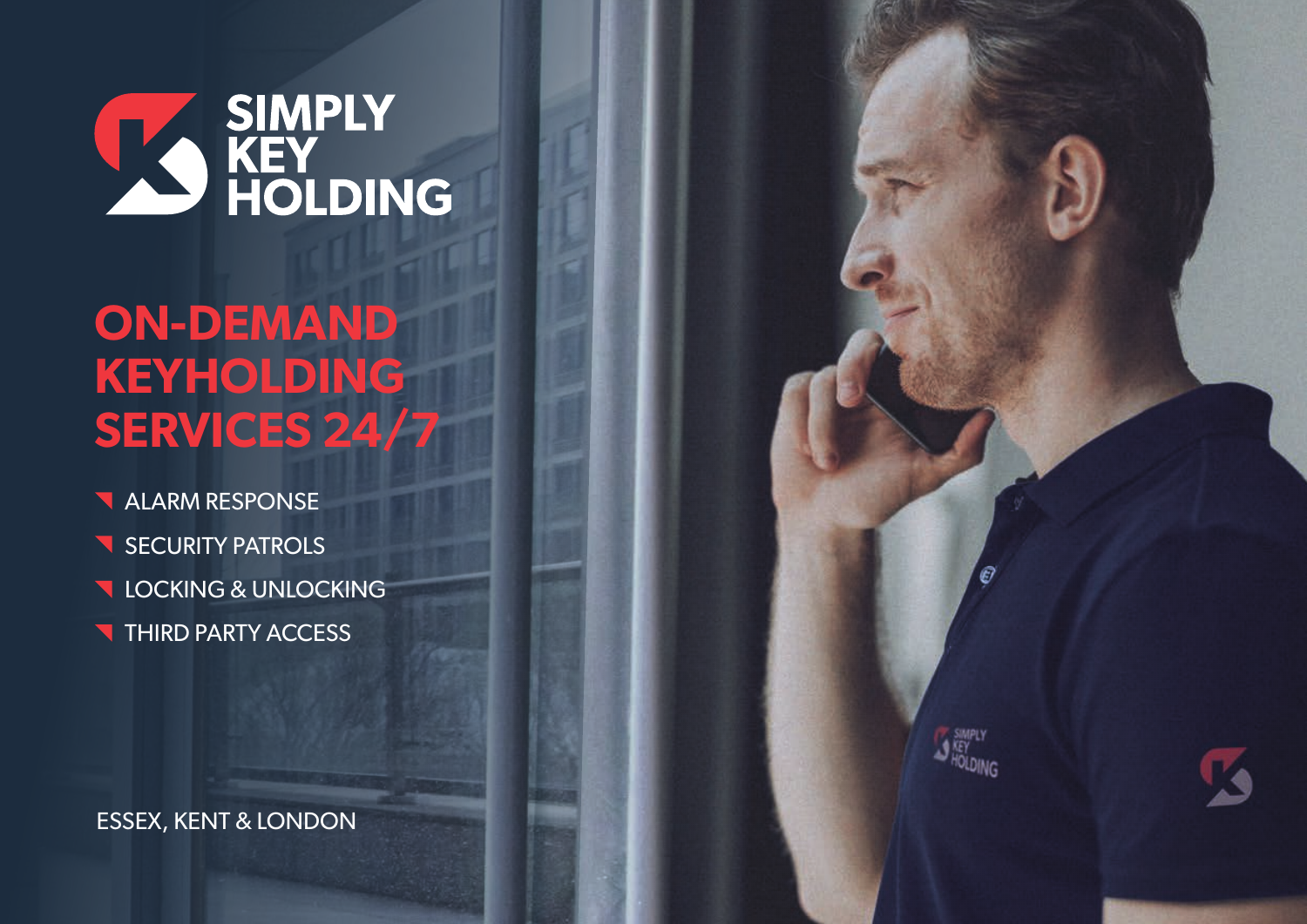

# **ON-DEMAND KEYHOLDING SERVICES 24/7**

- **ALARM RESPONSE**
- SECURITY PATROLS
- **LOCKING & UNLOCKING**
- **THIRD PARTY ACCESS**

ESSEX, KENT & LONDON

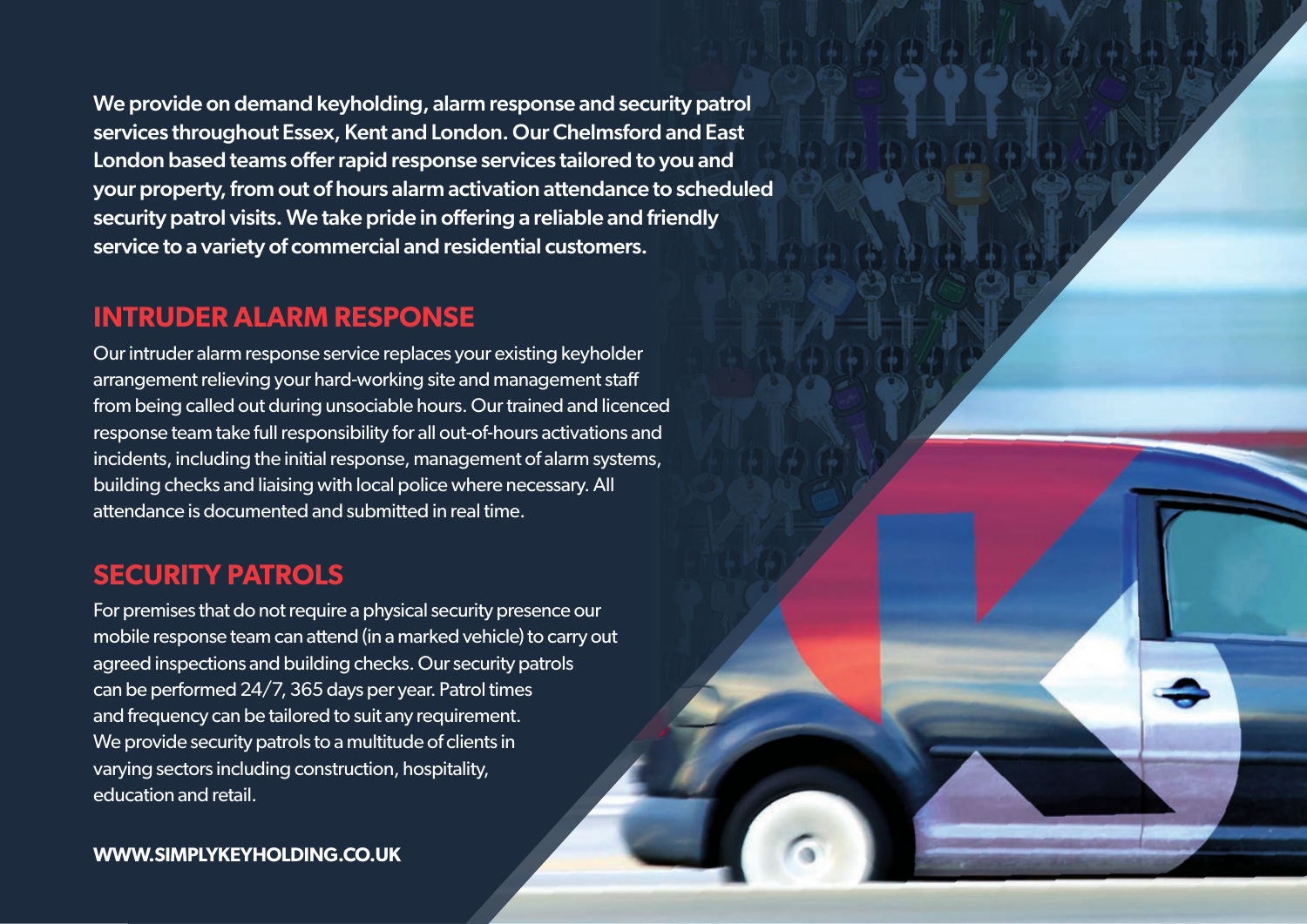We provide on demand keyholding, alarm response and security patrol services throughout Essex, Kent and London. Our Chelmsford and East London based teams offer rapid response services tailored to you and your property, from out of hours alarm activation attendance to scheduled security patrol visits. We take pride in offering a reliable and friendly service to a variety of commercial and residential customers.

## **INTRUDER ALARM RESPONSE**

Our intruder alarm response service replaces your existing keyholder arrangement relieving your hard-working site and management staff from being called out during unsociable hours. Our trained and licenced response team take full responsibility for all out-of-hours activations and incidents, including the initial response, management of alarm systems, building checks and liaising with local police where necessary. All attendance is documented and submitted in real time.

### **SECURITY PATROLS**

For premises that do not require a physical security presence our mobile response team can attend (in a marked vehicle) to carry out agreed inspections and building checks. Our security patrols can be performed 24/7, 365 days per year. Patrol times and frequency can be tailored to suit any requirement. We provide security patrols to a multitude of clients in varying sectors including construction, hospitality, education and retail.

#### **WWW.SIMPLYKEYHOLDING.CO.UK**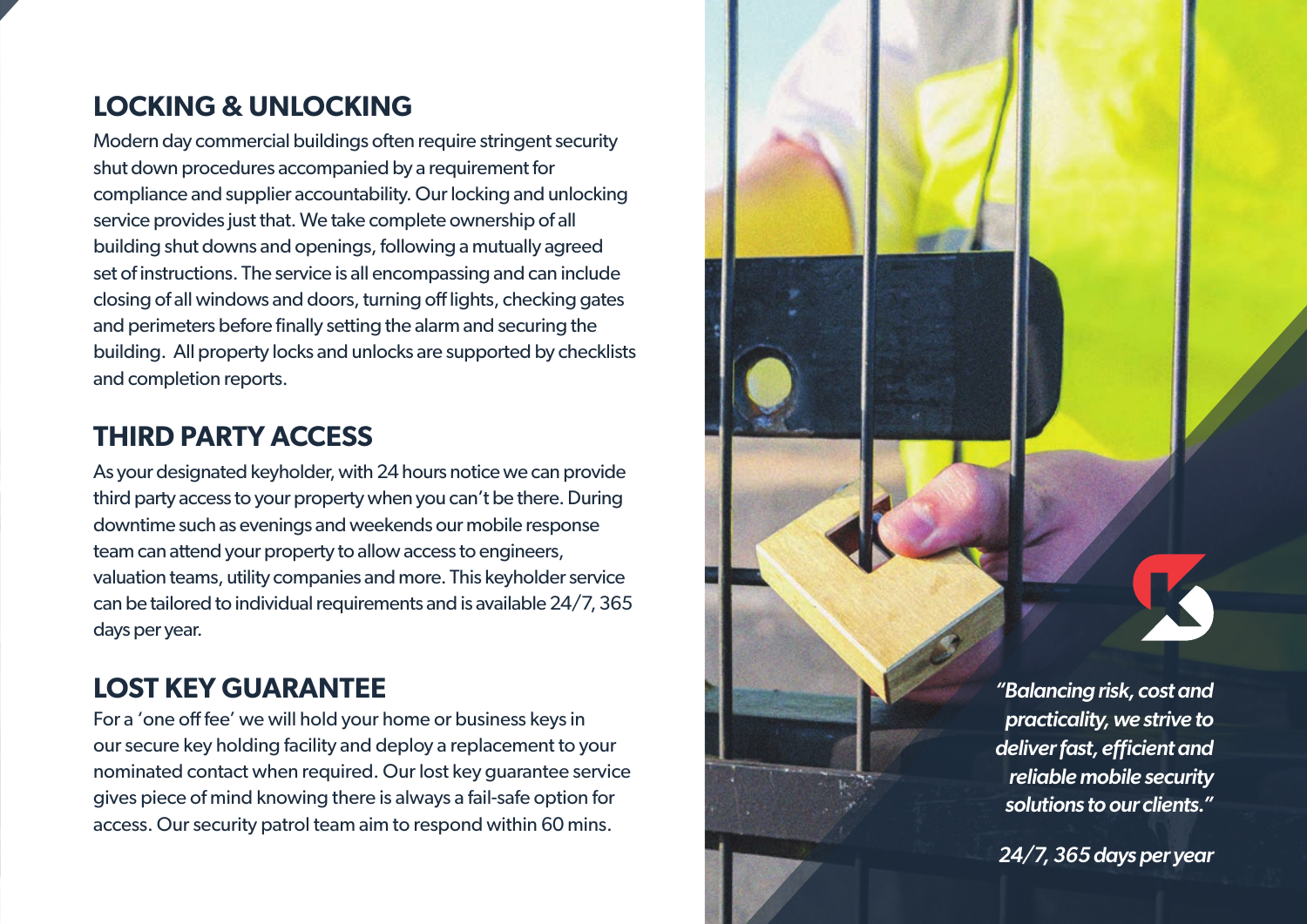## **LOCKING & UNLOCKING**

Modern day commercial buildings often require stringent security shut down procedures accompanied by a requirement for compliance and supplier accountability. Our locking and unlocking service provides just that. We take complete ownership of all building shut downs and openings, following a mutually agreed set of instructions. The service is all encompassing and can include closing of all windows and doors, turning off lights, checking gates and perimeters before finally setting the alarm and securing the building. All property locks and unlocks are supported by checklists and completion reports.

## **THIRD PARTY ACCESS**

As your designated keyholder, with 24 hours notice we can provide third party access to your property when you can't be there. During downtime such as evenings and weekends our mobile response team can attend your property to allow access to engineers, valuation teams, utility companies and more. This keyholder service can be tailored to individual requirements and is available 24/7, 365 days per year.

## **LOST KEY GUARANTEE**

For a 'one off fee' we will hold your home or business keys in our secure key holding facility and deploy a replacement to your nominated contact when required. Our lost key guarantee service gives piece of mind knowing there is always a fail-safe option for access. Our security patrol team aim to respond within 60 mins.